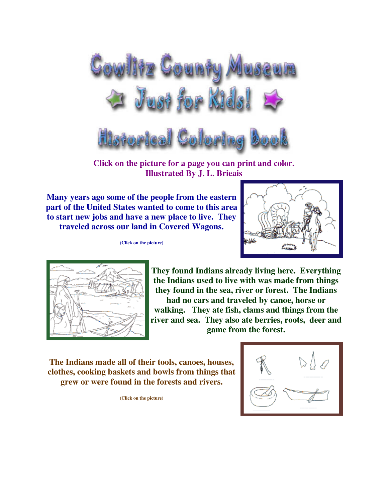

**Click on the picture for a page you can print and color. Illustrated By J. L. Brieais** 

**Many years ago some of the people from the eastern part of the United States wanted to come to this area to start new jobs and have a new place to live. They traveled across our land in Covered Wagons.**

**(Click on the picture)**





**They found Indians already living here. Everything the Indians used to live with was made from things they found in the sea, river or forest. The Indians** 

**had no cars and traveled by canoe, horse or walking. They ate fish, clams and things from the river and sea. They also ate berries, roots, deer and game from the forest.**

**The Indians made all of their tools, canoes, houses, clothes, cooking baskets and bowls from things that grew or were found in the forests and rivers.**

**(Click on the picture)**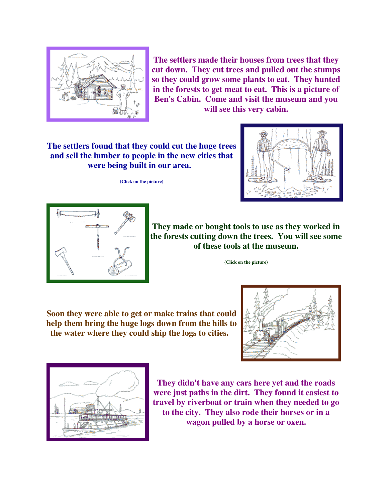

**The settlers made their houses from trees that they cut down. They cut trees and pulled out the stumps so they could grow some plants to eat. They hunted in the forests to get meat to eat. This is a picture of Ben's Cabin. Come and visit the museum and you will see this very cabin.**

**The settlers found that they could cut the huge trees and sell the lumber to people in the new cities that were being built in our area.** 

**(Click on the picture)**





**They made or bought tools to use as they worked in the forests cutting down the trees. You will see some of these tools at the museum.**

**(Click on the picture)**

**Soon they were able to get or make trains that could help them bring the huge logs down from the hills to the water where they could ship the logs to cities.** 





**They didn't have any cars here yet and the roads were just paths in the dirt. They found it easiest to travel by riverboat or train when they needed to go to the city. They also rode their horses or in a wagon pulled by a horse or oxen.**